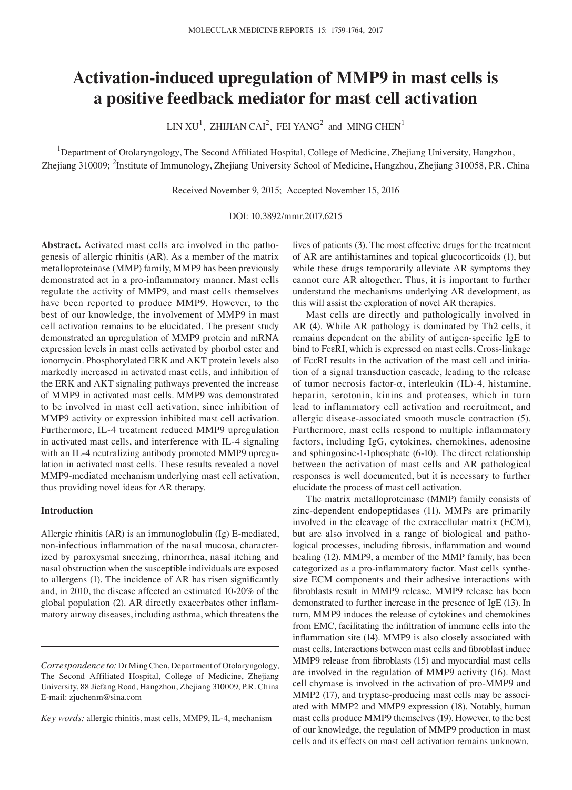# **Activation‑induced upregulation of MMP9 in mast cells is a positive feedback mediator for mast cell activation**

LIN XU<sup>1</sup>, ZHIJIAN CAI<sup>2</sup>, FEI YANG<sup>2</sup> and MING CHEN<sup>1</sup>

<sup>1</sup>Department of Otolaryngology, The Second Affiliated Hospital, College of Medicine, Zhejiang University, Hangzhou, Zhejiang 310009; <sup>2</sup>Institute of Immunology, Zhejiang University School of Medicine, Hangzhou, Zhejiang 310058, P.R. China

Received November 9, 2015; Accepted November 15, 2016

## DOI: 10.3892/mmr.2017.6215

**Abstract.** Activated mast cells are involved in the pathogenesis of allergic rhinitis (AR). As a member of the matrix metalloproteinase (MMP) family, MMP9 has been previously demonstrated act in a pro‑inflammatory manner. Mast cells regulate the activity of MMP9, and mast cells themselves have been reported to produce MMP9. However, to the best of our knowledge, the involvement of MMP9 in mast cell activation remains to be elucidated. The present study demonstrated an upregulation of MMP9 protein and mRNA expression levels in mast cells activated by phorbol ester and ionomycin. Phosphorylated ERK and AKT protein levels also markedly increased in activated mast cells, and inhibition of the ERK and AKT signaling pathways prevented the increase of MMP9 in activated mast cells. MMP9 was demonstrated to be involved in mast cell activation, since inhibition of MMP9 activity or expression inhibited mast cell activation. Furthermore, IL-4 treatment reduced MMP9 upregulation in activated mast cells, and interference with IL-4 signaling with an IL-4 neutralizing antibody promoted MMP9 upregulation in activated mast cells. These results revealed a novel MMP9-mediated mechanism underlying mast cell activation, thus providing novel ideas for AR therapy.

# **Introduction**

Allergic rhinitis (AR) is an immunoglobulin (Ig) E-mediated, non‑infectious inflammation of the nasal mucosa, characterized by paroxysmal sneezing, rhinorrhea, nasal itching and nasal obstruction when the susceptible individuals are exposed to allergens (1). The incidence of AR has risen significantly and, in 2010, the disease affected an estimated 10-20% of the global population (2). AR directly exacerbates other inflammatory airway diseases, including asthma, which threatens the

*Key words:* allergic rhinitis, mast cells, MMP9, IL-4, mechanism

lives of patients (3). The most effective drugs for the treatment of AR are antihistamines and topical glucocorticoids (1), but while these drugs temporarily alleviate AR symptoms they cannot cure AR altogether. Thus, it is important to further understand the mechanisms underlying AR development, as this will assist the exploration of novel AR therapies.

Mast cells are directly and pathologically involved in AR (4). While AR pathology is dominated by Th2 cells, it remains dependent on the ability of antigen-specific IgE to bind to FcεRI, which is expressed on mast cells. Cross-linkage of FcεRI results in the activation of the mast cell and initiation of a signal transduction cascade, leading to the release of tumor necrosis factor-α, interleukin (IL)-4, histamine, heparin, serotonin, kinins and proteases, which in turn lead to inflammatory cell activation and recruitment, and allergic disease-associated smooth muscle contraction (5). Furthermore, mast cells respond to multiple inflammatory factors, including IgG, cytokines, chemokines, adenosine and sphingosine-1-1phosphate (6-10). The direct relationship between the activation of mast cells and AR pathological responses is well documented, but it is necessary to further elucidate the process of mast cell activation.

The matrix metalloproteinase (MMP) family consists of zinc-dependent endopeptidases (11). MMPs are primarily involved in the cleavage of the extracellular matrix (ECM), but are also involved in a range of biological and pathological processes, including fibrosis, inflammation and wound healing (12). MMP9, a member of the MMP family, has been categorized as a pro‑inflammatory factor. Mast cells synthesize ECM components and their adhesive interactions with fibroblasts result in MMP9 release. MMP9 release has been demonstrated to further increase in the presence of IgE (13). In turn, MMP9 induces the release of cytokines and chemokines from EMC, facilitating the infiltration of immune cells into the inflammation site (14). MMP9 is also closely associated with mast cells. Interactions between mast cells and fibroblast induce MMP9 release from fibroblasts (15) and myocardial mast cells are involved in the regulation of MMP9 activity (16). Mast cell chymase is involved in the activation of pro-MMP9 and MMP2 (17), and tryptase-producing mast cells may be associated with MMP2 and MMP9 expression (18). Notably, human mast cells produce MMP9 themselves (19). However, to the best of our knowledge, the regulation of MMP9 production in mast cells and its effects on mast cell activation remains unknown.

*Correspondence to:* Dr Ming Chen, Department of Otolaryngology, The Second Affiliated Hospital, College of Medicine, Zhejiang University, 88 Jiefang Road, Hangzhou, Zhejiang 310009, P.R. China E‑mail: zjuchenm@sina.com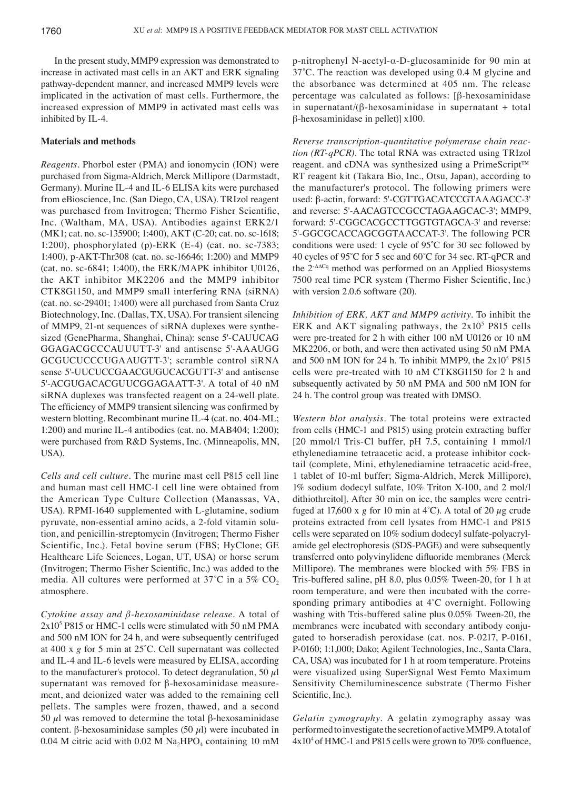In the present study, MMP9 expression was demonstrated to increase in activated mast cells in an AKT and ERK signaling pathway-dependent manner, and increased MMP9 levels were implicated in the activation of mast cells. Furthermore, the increased expression of MMP9 in activated mast cells was inhibited by IL-4.

# **Materials and methods**

*Reagents.* Phorbol ester (PMA) and ionomycin (ION) were purchased from Sigma-Aldrich, Merck Millipore (Darmstadt, Germany). Murine IL-4 and IL-6 ELISA kits were purchased from eBioscience, Inc. (San Diego, CA, USA). TRIzol reagent was purchased from Invitrogen; Thermo Fisher Scientific, Inc. (Waltham, MA, USA). Antibodies against ERK2/1 (MK1; cat. no. sc‑135900; 1:400), AKT (C‑20; cat. no. sc‑1618; 1:200), phosphorylated (p)-ERK (E-4) (cat. no. sc-7383; 1:400), p‑AKT‑Thr308 (cat. no. sc‑16646; 1:200) and MMP9 (cat. no. sc‑6841; 1:400), the ERK/MAPK inhibitor U0126, the AKT inhibitor MK2206 and the MMP9 inhibitor CTK8G1150, and MMP9 small interfering RNA (siRNA) (cat. no. sc‑29401; 1:400) were all purchased from Santa Cruz Biotechnology, Inc. (Dallas, TX, USA). For transient silencing of MMP9, 21-nt sequences of siRNA duplexes were synthesized (GenePharma, Shanghai, China): sense 5'-CAUUCAG GGAGACGCCCAUUUTT-3' and antisense 5'-AAAUGG GCGUCUCCCUGAAUGTT‑3'; scramble control siRNA sense 5'-UUCUCCGAACGUGUCACGUTT-3' and antisense 5'-ACGUGACACGUUCGGAGAATT-3'. A total of 40 nM siRNA duplexes was transfected reagent on a 24-well plate. The efficiency of MMP9 transient silencing was confirmed by western blotting. Recombinant murine IL-4 (cat. no. 404-ML; 1:200) and murine IL‑4 antibodies (cat. no. MAB404; 1:200); were purchased from R&D Systems, Inc. (Minneapolis, MN, USA).

*Cells and cell culture.* The murine mast cell P815 cell line and human mast cell HMC-1 cell line were obtained from the American Type Culture Collection (Manassas, VA, USA). RPMI-1640 supplemented with L-glutamine, sodium pyruvate, non-essential amino acids, a 2-fold vitamin solution, and penicillin‑streptomycin (Invitrogen; Thermo Fisher Scientific, Inc.). Fetal bovine serum (FBS; HyClone; GE Healthcare Life Sciences, Logan, UT, USA) or horse serum (Invitrogen; Thermo Fisher Scientific, Inc.) was added to the media. All cultures were performed at 37°C in a 5%  $CO<sub>2</sub>$ atmosphere.

*Cytokine assay and β‑hexosaminidase release.* A total of 2x10<sup>5</sup> P815 or HMC-1 cells were stimulated with 50 nM PMA and 500 nM ION for 24 h, and were subsequently centrifuged at 400 x *g* for 5 min at 25˚C. Cell supernatant was collected and IL-4 and IL-6 levels were measured by ELISA, according to the manufacturer's protocol. To detect degranulation, 50  $\mu$ l supernatant was removed for β-hexosaminidase measurement, and deionized water was added to the remaining cell pellets. The samples were frozen, thawed, and a second 50  $\mu$ l was removed to determine the total β-hexosaminidase content. β-hexosaminidase samples (50  $\mu$ l) were incubated in 0.04 M citric acid with 0.02 M  $\text{Na}_2\text{HPO}_4$  containing 10 mM

p-nitrophenyl N-acetyl-α-D-glucosaminide for 90 min at 37˚C. The reaction was developed using 0.4 M glycine and the absorbance was determined at 405 nm. The release percentage was calculated as follows: [β-hexosaminidase in supernatant/ $(\beta$ -hexosaminidase in supernatant + total β-hexosaminidase in pellet)] x100.

*Reverse transcription‑quantitative polymerase chain reac‑ tion (RT‑qPCR).* The total RNA was extracted using TRIzol reagent. and cDNA was synthesized using a PrimeScript™ RT reagent kit (Takara Bio, Inc., Otsu, Japan), according to the manufacturer's protocol. The following primers were used: β-actin, forward: 5'-CGTTGACATCCGTAAAGACC-3' and reverse: 5'‑AACAGTCCGCCTAGAAGCAC‑3'; MMP9, forward: 5'-CGGCACGCCTTGGTGTAGCA-3' and reverse: 5'-GGCGCACCAGCGGTAACCAT-3'. The following PCR conditions were used: 1 cycle of 95˚C for 30 sec followed by 40 cycles of 95˚C for 5 sec and 60˚C for 34 sec. RT‑qPCR and the 2-∆∆Cq method was performed on an Applied Biosystems 7500 real time PCR system (Thermo Fisher Scientific, Inc.) with version 2.0.6 software (20).

*Inhibition of ERK, AKT and MMP9 activity.* To inhibit the ERK and AKT signaling pathways, the  $2x10^5$  P815 cells were pre-treated for 2 h with either 100 nM U0126 or 10 nM MK2206, or both, and were then activated using 50 nM PMA and 500 nM ION for 24 h. To inhibit MMP9, the  $2x10^5$  P815 cells were pre-treated with 10 nM CTK8G1150 for 2 h and subsequently activated by 50 nM PMA and 500 nM ION for 24 h. The control group was treated with DMSO.

*Western blot analysis.* The total proteins were extracted from cells (HMC-1 and P815) using protein extracting buffer [20 mmol/l Tris-Cl buffer, pH 7.5, containing 1 mmol/l ethylenediamine tetraacetic acid, a protease inhibitor cocktail (complete, Mini, ethylenediamine tetraacetic acid-free, 1 tablet of 10‑ml buffer; Sigma‑Aldrich, Merck Millipore), 1% sodium dodecyl sulfate, 10% Triton X-100, and 2 mol/l dithiothreitol]. After 30 min on ice, the samples were centrifuged at 17,600 x  $g$  for 10 min at 4°C). A total of 20  $\mu$ g crude proteins extracted from cell lysates from HMC-1 and P815 cells were separated on 10% sodium dodecyl sulfate-polyacrylamide gel electrophoresis (SDS-PAGE) and were subsequently transferred onto polyvinylidene difluoride membranes (Merck Millipore). The membranes were blocked with 5% FBS in Tris-buffered saline, pH 8.0, plus 0.05% Tween-20, for 1 h at room temperature, and were then incubated with the corresponding primary antibodies at 4˚C overnight. Following washing with Tris-buffered saline plus 0.05% Tween-20, the membranes were incubated with secondary antibody conjugated to horseradish peroxidase (cat. nos. P-0217, P-0161, P‑0160; 1:1,000; Dako; Agilent Technologies, Inc., Santa Clara, CA, USA) was incubated for 1 h at room temperature. Proteins were visualized using SuperSignal West Femto Maximum Sensitivity Chemiluminescence substrate (Thermo Fisher Scientific, Inc.).

*Gelatin zymography.* A gelatin zymography assay was performed to investigate the secretion of active MMP9. A total of 4x104 of HMC‑1 and P815 cells were grown to 70% confluence,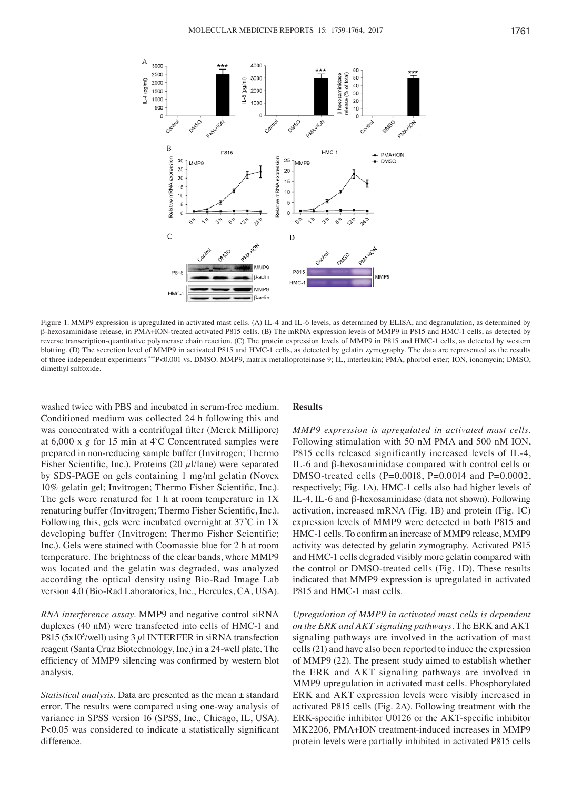

Figure 1. MMP9 expression is upregulated in activated mast cells. (A) IL-4 and IL-6 levels, as determined by ELISA, and degranulation, as determined by β-hexosaminidase release, in PMA+ION-treated activated P815 cells. (B) The mRNA expression levels of MMP9 in P815 and HMC-1 cells, as detected by reverse transcription-quantitative polymerase chain reaction. (C) The protein expression levels of MMP9 in P815 and HMC-1 cells, as detected by western blotting. (D) The secretion level of MMP9 in activated P815 and HMC-1 cells, as detected by gelatin zymography. The data are represented as the results of three independent experiments \*\*\*P<0.001 vs. DMSO. MMP9, matrix metalloproteinase 9; IL, interleukin; PMA, phorbol ester; ION, ionomycin; DMSO, dimethyl sulfoxide.

washed twice with PBS and incubated in serum-free medium. Conditioned medium was collected 24 h following this and was concentrated with a centrifugal filter (Merck Millipore) at 6,000 x *g* for 15 min at 4˚C Concentrated samples were prepared in non‑reducing sample buffer (Invitrogen; Thermo Fisher Scientific, Inc.). Proteins (20  $\mu$ l/lane) were separated by SDS-PAGE on gels containing 1 mg/ml gelatin (Novex 10% gelatin gel; Invitrogen; Thermo Fisher Scientific, Inc.). The gels were renatured for 1 h at room temperature in 1X renaturing buffer (Invitrogen; Thermo Fisher Scientific, Inc.). Following this, gels were incubated overnight at 37˚C in 1X developing buffer (Invitrogen; Thermo Fisher Scientific; Inc.). Gels were stained with Coomassie blue for 2 h at room temperature. The brightness of the clear bands, where MMP9 was located and the gelatin was degraded, was analyzed according the optical density using Bio-Rad Image Lab version 4.0 (Bio-Rad Laboratories, Inc., Hercules, CA, USA).

*RNA interference assay.* MMP9 and negative control siRNA duplexes (40 nM) were transfected into cells of HMC-1 and P815 (5x10<sup>5</sup>/well) using  $3 \mu$ INTERFER in siRNA transfection reagent (Santa Cruz Biotechnology, Inc.) in a 24-well plate. The efficiency of MMP9 silencing was confirmed by western blot analysis.

*Statistical analysis.* Data are presented as the mean ± standard error. The results were compared using one-way analysis of variance in SPSS version 16 (SPSS, Inc., Chicago, IL, USA). P<0.05 was considered to indicate a statistically significant difference.

#### **Results**

*MMP9 expression is upregulated in activated mast cells.*  Following stimulation with 50 nM PMA and 500 nM ION, P815 cells released significantly increased levels of IL-4, IL-6 and β-hexosaminidase compared with control cells or DMSO-treated cells (P=0.0018, P=0.0014 and P=0.0002, respectively; Fig. 1A). HMC-1 cells also had higher levels of IL-4, IL-6 and β-hexosaminidase (data not shown). Following activation, increased mRNA (Fig. 1B) and protein (Fig. 1C) expression levels of MMP9 were detected in both P815 and HMC‑1 cells. To confirm an increase of MMP9 release, MMP9 activity was detected by gelatin zymography. Activated P815 and HMC-1 cells degraded visibly more gelatin compared with the control or DMSO-treated cells (Fig. 1D). These results indicated that MMP9 expression is upregulated in activated P815 and HMC-1 mast cells.

*Upregulation of MMP9 in activated mast cells is dependent on the ERK and AKT signaling pathways.* The ERK and AKT signaling pathways are involved in the activation of mast cells(21) and have also been reported to induce the expression of MMP9 (22). The present study aimed to establish whether the ERK and AKT signaling pathways are involved in MMP9 upregulation in activated mast cells. Phosphorylated ERK and AKT expression levels were visibly increased in activated P815 cells (Fig. 2A). Following treatment with the ERK‑specific inhibitor U0126 or the AKT‑specific inhibitor MK2206, PMA+ION treatment-induced increases in MMP9 protein levels were partially inhibited in activated P815 cells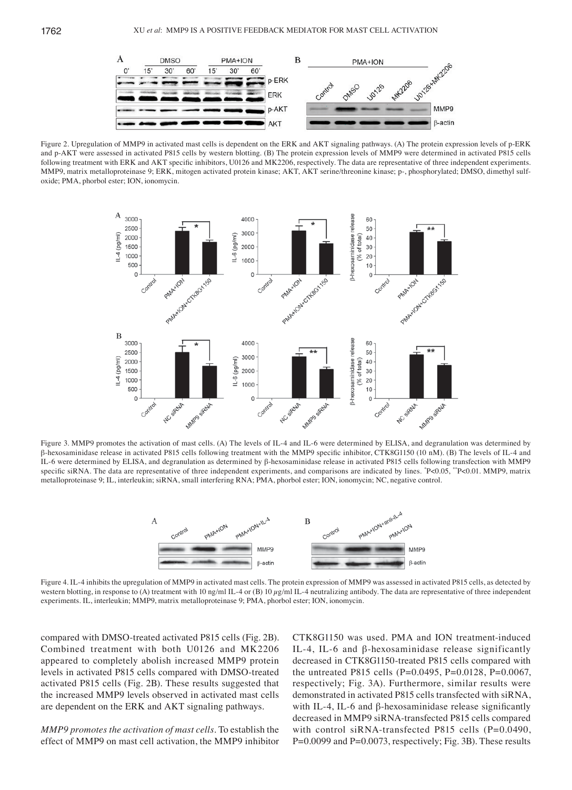

Figure 2. Upregulation of MMP9 in activated mast cells is dependent on the ERK and AKT signaling pathways. (A) The protein expression levels of p-ERK and p-AKT were assessed in activated P815 cells by western blotting. (B) The protein expression levels of MMP9 were determined in activated P815 cells following treatment with ERK and AKT specific inhibitors, U0126 and MK2206, respectively. The data are representative of three independent experiments. MMP9, matrix metalloproteinase 9; ERK, mitogen activated protein kinase; AKT, AKT serine/threonine kinase; p‑, phosphorylated; DMSO, dimethyl sulfoxide; PMA, phorbol ester; ION, ionomycin.



Figure 3. MMP9 promotes the activation of mast cells. (A) The levels of IL-4 and IL-6 were determined by ELISA, and degranulation was determined by β‑hexosaminidase release in activated P815 cells following treatment with the MMP9 specific inhibitor, CTK8G1150 (10 nM). (B) The levels of IL‑4 and IL-6 were determined by ELISA, and degranulation as determined by β-hexosaminidase release in activated P815 cells following transfection with MMP9 specific siRNA. The data are representative of three independent experiments, and comparisons are indicated by lines. \*P<0.05, \*\*P<0.01. MMP9, matrix metalloproteinase 9; IL, interleukin; siRNA, small interfering RNA; PMA, phorbol ester; ION, ionomycin; NC, negative control.



Figure 4. IL-4 inhibits the upregulation of MMP9 in activated mast cells. The protein expression of MMP9 was assessed in activated P815 cells, as detected by western blotting, in response to (A) treatment with 10 ng/ml IL-4 or (B) 10  $\mu$ g/ml IL-4 neutralizing antibody. The data are representative of three independent experiments. IL, interleukin; MMP9, matrix metalloproteinase 9; PMA, phorbol ester; ION, ionomycin.

compared with DMSO-treated activated P815 cells (Fig. 2B). Combined treatment with both U0126 and MK2206 appeared to completely abolish increased MMP9 protein levels in activated P815 cells compared with DMSO-treated activated P815 cells (Fig. 2B). These results suggested that the increased MMP9 levels observed in activated mast cells are dependent on the ERK and AKT signaling pathways.

*MMP9 promotes the activation of mast cells.* To establish the effect of MMP9 on mast cell activation, the MMP9 inhibitor CTK8G1150 was used. PMA and ION treatment-induced IL-4, IL-6 and β-hexosaminidase release significantly decreased in CTK8G1150-treated P815 cells compared with the untreated P815 cells (P=0.0495, P=0.0128, P=0.0067, respectively; Fig. 3A). Furthermore, similar results were demonstrated in activated P815 cells transfected with siRNA, with IL-4, IL-6 and β-hexosaminidase release significantly decreased in MMP9 siRNA-transfected P815 cells compared with control siRNA-transfected P815 cells (P=0.0490, P=0.0099 and P=0.0073, respectively; Fig. 3B). These results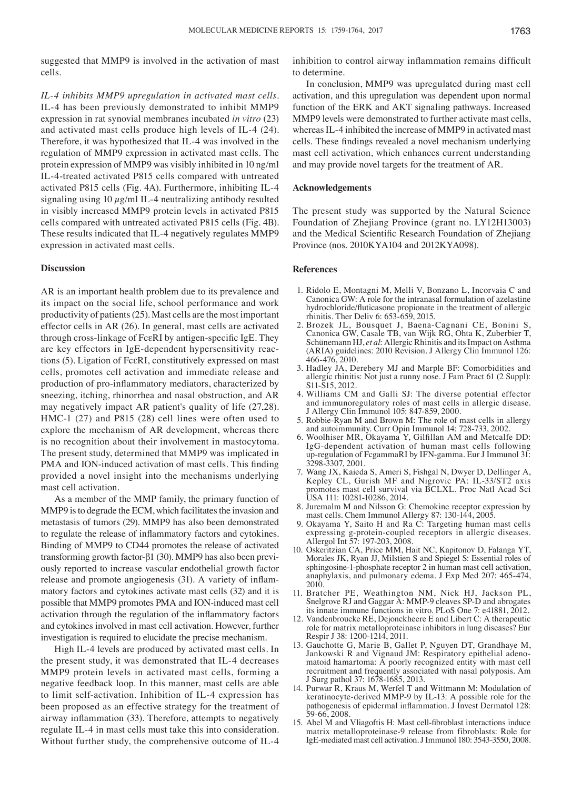suggested that MMP9 is involved in the activation of mast cells.

*IL‑4 inhibits MMP9 upregulation in activated mast cells.*  IL-4 has been previously demonstrated to inhibit MMP9 expression in rat synovial membranes incubated *in vitro* (23) and activated mast cells produce high levels of IL-4 (24). Therefore, it was hypothesized that IL-4 was involved in the regulation of MMP9 expression in activated mast cells. The protein expression of MMP9 was visibly inhibited in 10 ng/ml IL-4-treated activated P815 cells compared with untreated activated P815 cells (Fig. 4A). Furthermore, inhibiting IL-4 signaling using 10  $\mu$ g/ml IL-4 neutralizing antibody resulted in visibly increased MMP9 protein levels in activated P815 cells compared with untreated activated P815 cells (Fig. 4B). These results indicated that IL-4 negatively regulates MMP9 expression in activated mast cells.

# **Discussion**

AR is an important health problem due to its prevalence and its impact on the social life, school performance and work productivity of patients(25). Mast cells are the most important effector cells in AR (26). In general, mast cells are activated through cross‑linkage of FcεRI by antigen‑specific IgE. They are key effectors in IgE-dependent hypersensitivity reactions (5). Ligation of FcεRI, constitutively expressed on mast cells, promotes cell activation and immediate release and production of pro‑inflammatory mediators, characterized by sneezing, itching, rhinorrhea and nasal obstruction, and AR may negatively impact AR patient's quality of life (27,28). HMC-1 (27) and P815 (28) cell lines were often used to explore the mechanism of AR development, whereas there is no recognition about their involvement in mastocytoma. The present study, determined that MMP9 was implicated in PMA and ION-induced activation of mast cells. This finding provided a novel insight into the mechanisms underlying mast cell activation.

As a member of the MMP family, the primary function of MMP9 is to degrade the ECM, which facilitates the invasion and metastasis of tumors (29). MMP9 has also been demonstrated to regulate the release of inflammatory factors and cytokines. Binding of MMP9 to CD44 promotes the release of activated transforming growth factor-β1 (30). MMP9 has also been previously reported to increase vascular endothelial growth factor release and promote angiogenesis (31). A variety of inflammatory factors and cytokines activate mast cells (32) and it is possible that MMP9 promotes PMA and ION-induced mast cell activation through the regulation of the inflammatory factors and cytokines involved in mast cell activation. However, further investigation is required to elucidate the precise mechanism.

High IL-4 levels are produced by activated mast cells. In the present study, it was demonstrated that IL-4 decreases MMP9 protein levels in activated mast cells, forming a negative feedback loop. In this manner, mast cells are able to limit self-activation. Inhibition of IL-4 expression has been proposed as an effective strategy for the treatment of airway inflammation (33). Therefore, attempts to negatively regulate IL-4 in mast cells must take this into consideration. Without further study, the comprehensive outcome of IL-4

inhibition to control airway inflammation remains difficult to determine.

In conclusion, MMP9 was upregulated during mast cell activation, and this upregulation was dependent upon normal function of the ERK and AKT signaling pathways. Increased MMP9 levels were demonstrated to further activate mast cells, whereas IL-4 inhibited the increase of MMP9 in activated mast cells. These findings revealed a novel mechanism underlying mast cell activation, which enhances current understanding and may provide novel targets for the treatment of AR.

# **Acknowledgements**

The present study was supported by the Natural Science Foundation of Zhejiang Province (grant no. LY12H13003) and the Medical Scientific Research Foundation of Zhejiang Province (nos. 2010KYA104 and 2012KYA098).

### **References**

- 1. Ridolo E, Montagni M, Melli V, Bonzano L, Incorvaia C and Canonica GW: A role for the intranasal formulation of azelastine hydrochloride/fluticasone propionate in the treatment of allergic rhinitis. Ther Deliv 6: 653-659, 2015.
- 2. Brozek JL, Bousquet J, Baena-Cagnani CE, Bonini S, Canonica GW, Casale TB, van Wijk RG, Ohta K, Zuberbier T, Schünemann HJ, *et al*: Allergic Rhinitis and its Impact on Asthma (ARIA) guidelines: 2010 Revision. J Allergy Clin Immunol 126: 466-476, 2010.
- 3. Hadley JA, Derebery MJ and Marple BF: Comorbidities and allergic rhinitis: Not just a runny nose. J Fam Pract 61 (2 Suppl): S11-S15, 2012.
- 4. Williams CM and Galli SJ: The diverse potential effector and immunoregulatory roles of mast cells in allergic disease. J Allergy Clin Immunol 105: 847-859, 2000.
- 5. Robbie-Ryan M and Brown M: The role of mast cells in allergy and autoimmunity. Curr Opin Immunol 14: 728-733, 2002.
- 6. Woolhiser MR, Okayama Y, Gilfillan AM and Metcalfe DD: IgG-dependent activation of human mast cells following up-regulation of FcgammaRI by IFN-gamma. Eur J Immunol 31: 3298-3307, 2001.
- 7. Wang JX, Kaieda S, Ameri S, Fishgal N, Dwyer D, Dellinger A, Kepley CL, Gurish MF and Nigrovic PA: IL-33/ST2 axis promotes mast cell survival via BCLXL. Proc Natl Acad Sci USA 111: 10281-10286, 2014.
- 8. Juremalm M and Nilsson G: Chemokine receptor expression by mast cells. Chem Immunol Allergy 87: 130-144, 2005.
- 9. Okayama Y, Saito H and Ra C: Targeting human mast cells expressing g-protein-coupled receptors in allergic diseases. Allergol Int 57: 197-203, 2008.
- 10. Oskeritzian CA, Price MM, Hait NC, Kapitonov D, Falanga YT, Morales JK, Ryan JJ, Milstien S and Spiegel S: Essential roles of sphingosine-1-phosphate receptor 2 in human mast cell activation, anaphylaxis, and pulmonary edema. J Exp Med 207: 465-474, 2010.
- 11. Bratcher PE, Weathington NM, Nick HJ, Jackson PL, Snelgrove RJ and Gaggar A: MMP-9 cleaves SP-D and abrogates its innate immune functions in vitro. PLoS One 7: e41881, 2012.
- 12. Vandenbroucke RE, Dejonckheere E and Libert C: A therapeutic role for matrix metalloproteinase inhibitors in lung diseases? Eur Respir J 38: 1200-1214, 2011.
- 13. Gauchotte G, Marie B, Gallet P, Nguyen DT, Grandhaye M, Jankowski R and Vignaud JM: Respiratory epithelial adeno- matoid hamartoma: A poorly recognized entity with mast cell recruitment and frequently associated with nasal polyposis. Am J Surg pathol 37: 1678-1685, 2013.
- 14. Purwar R, Kraus M, Werfel T and Wittmann M: Modulation of keratinocyte-derived MMP-9 by IL-13: A possible role for the pathogenesis of epidermal inflammation. J Invest Dermatol 128: 59-66, 2008.
- 15. Abel M and Vliagoftis H: Mast cell‑fibroblast interactions induce matrix metalloproteinase-9 release from fibroblasts: Role for IgE-mediated mast cell activation. JImmunol 180: 3543-3550, 2008.